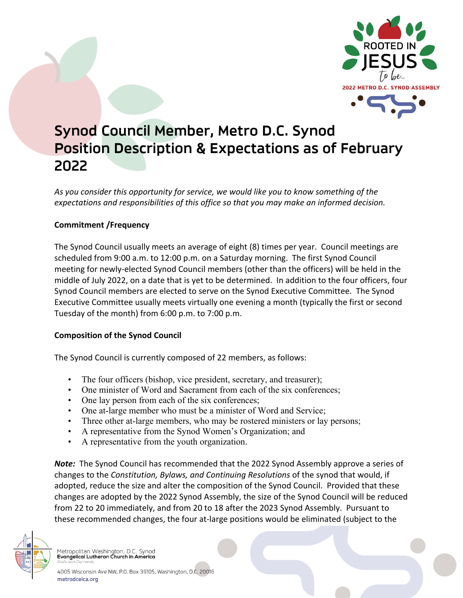

# **Synod Council Member, Metro D.C. Synod Position Description & Expectations as of February 2022**

*As you consider this opportunity for service, we would like you to know something of the expectations and responsibilities of this office so that you may make an informed decision.* 

## **Commitment /Frequency**

The Synod Council usually meets an average of eight (8) times per year. Council meetings are scheduled from 9:00 a.m. to 12:00 p.m. on a Saturday morning. The first Synod Council meeting for newly-elected Synod Council members (other than the officers) will be held in the middle of July 2022, on a date that is yet to be determined. In addition to the four officers, four Synod Council members are elected to serve on the Synod Executive Committee. The Synod Executive Committee usually meets virtually one evening a month (typically the first or second Tuesday of the month) from 6:00 p.m. to 7:00 p.m.

## **Composition of the Synod Council**

The Synod Council is currently composed of 22 members, as follows:

- The four officers (bishop, vice president, secretary, and treasurer);
- One minister of Word and Sacrament from each of the six conferences;
- One lay person from each of the six conferences;
- One at-large member who must be a minister of Word and Service;
- Three other at-large members, who may be rostered ministers or lay persons;
- A representative from the Synod Women's Organization; and
- A representative from the youth organization.

*Note:* The Synod Council has recommended that the 2022 Synod Assembly approve a series of changes to the *Constitution, Bylaws, and Continuing Resolutions* of the synod that would, if adopted, reduce the size and alter the composition of the Synod Council. Provided that these changes are adopted by the 2022 Synod Assembly, the size of the Synod Council will be reduced from 22 to 20 immediately, and from 20 to 18 after the 2023 Synod Assembly. Pursuant to these recommended changes, the four at-large positions would be eliminated (subject to the



Metropolitan Washington, D.C. Synod<br>Evangelical Lutheran Church in America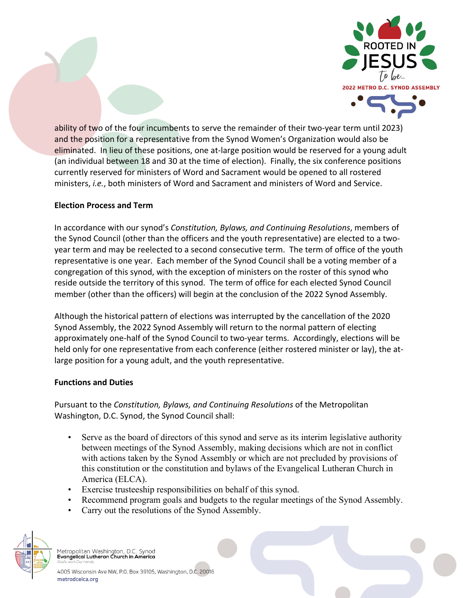



ability of two of the four incumbents to serve the remainder of their two-year term until 2023) and the position for a representative from the Synod Women's Organization would also be eliminated. In lieu of these positions, one at-large position would be reserved for a young adult (an individual between 18 and 30 at the time of election). Finally, the six conference positions currently reserved for ministers of Word and Sacrament would be opened to all rostered ministers, *i.e.*, both ministers of Word and Sacrament and ministers of Word and Service.

### **Election Process and Term**

In accordance with our synod's *Constitution, Bylaws, and Continuing Resolutions*, members of the Synod Council (other than the officers and the youth representative) are elected to a twoyear term and may be reelected to a second consecutive term. The term of office of the youth representative is one year. Each member of the Synod Council shall be a voting member of a congregation of this synod, with the exception of ministers on the roster of this synod who reside outside the territory of this synod. The term of office for each elected Synod Council member (other than the officers) will begin at the conclusion of the 2022 Synod Assembly.

Although the historical pattern of elections was interrupted by the cancellation of the 2020 Synod Assembly, the 2022 Synod Assembly will return to the normal pattern of electing approximately one-half of the Synod Council to two-year terms. Accordingly, elections will be held only for one representative from each conference (either rostered minister or lay), the atlarge position for a young adult, and the youth representative.

#### **Functions and Duties**

Pursuant to the *Constitution, Bylaws, and Continuing Resolutions* of the Metropolitan Washington, D.C. Synod, the Synod Council shall:

- Serve as the board of directors of this synod and serve as its interim legislative authority between meetings of the Synod Assembly, making decisions which are not in conflict with actions taken by the Synod Assembly or which are not precluded by provisions of this constitution or the constitution and bylaws of the Evangelical Lutheran Church in America (ELCA).
- Exercise trusteeship responsibilities on behalf of this synod.
- Recommend program goals and budgets to the regular meetings of the Synod Assembly.
- Carry out the resolutions of the Synod Assembly.



Metropolitan Washington, D.C. Synod<br>Evangelical Lutheran Church in America